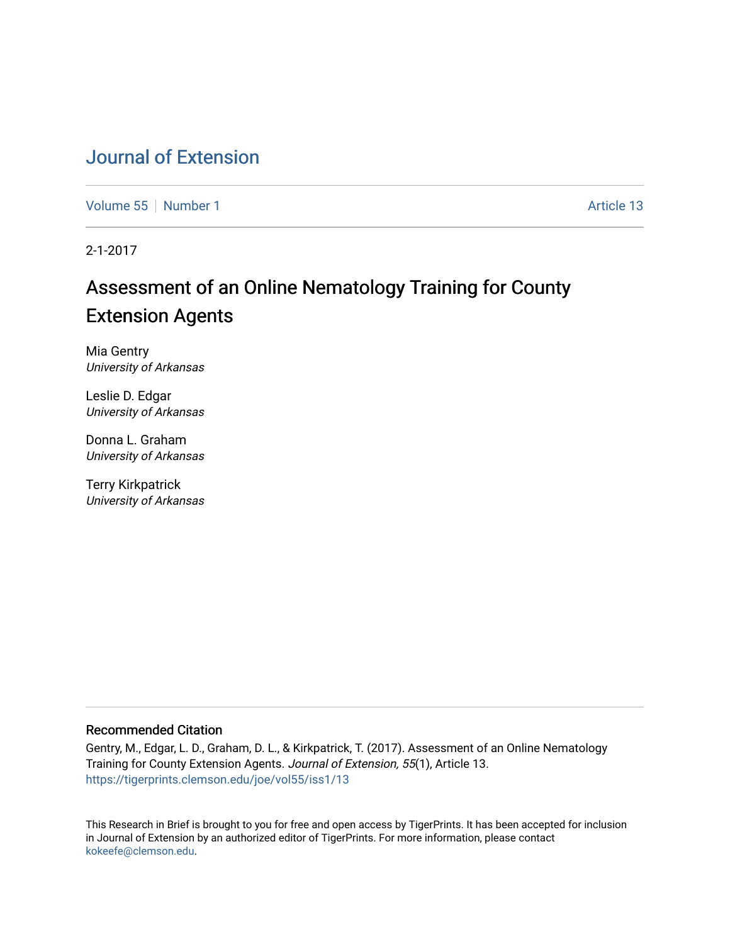# [Journal of Extension](https://tigerprints.clemson.edu/joe)

[Volume 55](https://tigerprints.clemson.edu/joe/vol55) [Number 1](https://tigerprints.clemson.edu/joe/vol55/iss1) Article 13

2-1-2017

# Assessment of an Online Nematology Training for County Extension Agents

Mia Gentry University of Arkansas

Leslie D. Edgar University of Arkansas

Donna L. Graham University of Arkansas

Terry Kirkpatrick University of Arkansas

### Recommended Citation

Gentry, M., Edgar, L. D., Graham, D. L., & Kirkpatrick, T. (2017). Assessment of an Online Nematology Training for County Extension Agents. Journal of Extension, 55(1), Article 13. <https://tigerprints.clemson.edu/joe/vol55/iss1/13>

This Research in Brief is brought to you for free and open access by TigerPrints. It has been accepted for inclusion in Journal of Extension by an authorized editor of TigerPrints. For more information, please contact [kokeefe@clemson.edu](mailto:kokeefe@clemson.edu).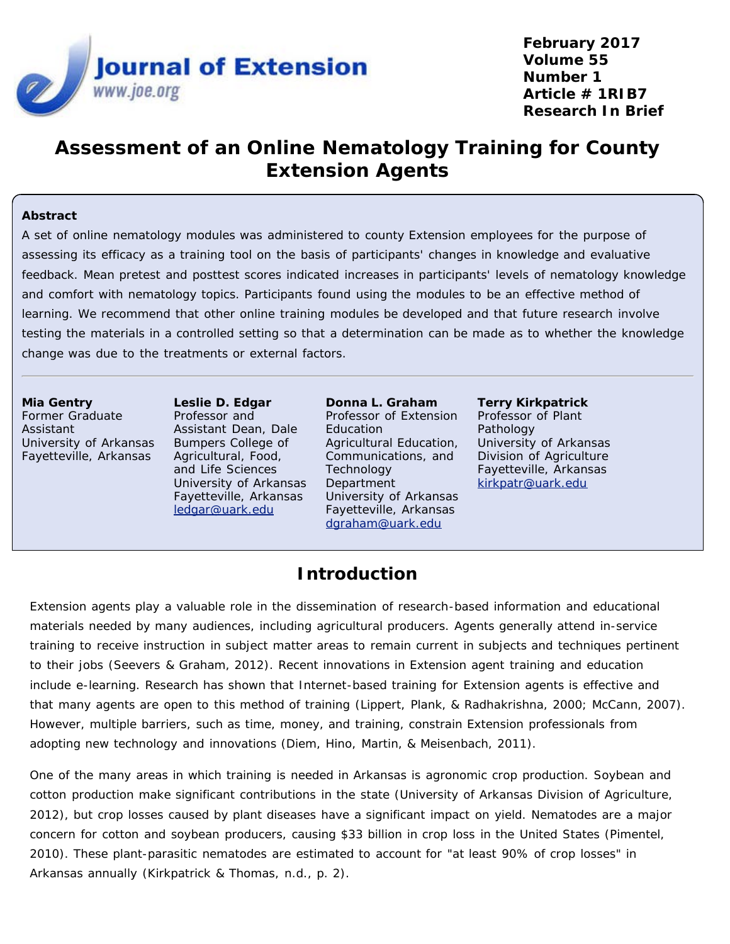

**February 2017 Volume 55 Number 1 Article # 1RIB7 Research In Brief**

# **Assessment of an Online Nematology Training for County Extension Agents**

### **Abstract**

A set of online nematology modules was administered to county Extension employees for the purpose of assessing its efficacy as a training tool on the basis of participants' changes in knowledge and evaluative feedback. Mean pretest and posttest scores indicated increases in participants' levels of nematology knowledge and comfort with nematology topics. Participants found using the modules to be an effective method of learning. We recommend that other online training modules be developed and that future research involve testing the materials in a controlled setting so that a determination can be made as to whether the knowledge change was due to the treatments or external factors.

**Mia Gentry** Former Graduate Assistant University of Arkansas Fayetteville, Arkansas

**Leslie D. Edgar** Professor and Assistant Dean, Dale Bumpers College of Agricultural, Food, and Life Sciences University of Arkansas Fayetteville, Arkansas [ledgar@uark.edu](mailto:ledgar@uark.edu)

**Donna L. Graham** Professor of Extension **Education** Agricultural Education, Communications, and **Technology** Department University of Arkansas Fayetteville, Arkansas [dgraham@uark.edu](mailto:dgraham@uark.edu)

**Terry Kirkpatrick** Professor of Plant Pathology University of Arkansas Division of Agriculture Fayetteville, Arkansas [kirkpatr@uark.edu](mailto:kirkpatr@uark.edu)

### **Introduction**

Extension agents play a valuable role in the dissemination of research-based information and educational materials needed by many audiences, including agricultural producers. Agents generally attend in-service training to receive instruction in subject matter areas to remain current in subjects and techniques pertinent to their jobs (Seevers & Graham, 2012). Recent innovations in Extension agent training and education include e-learning. Research has shown that Internet-based training for Extension agents is effective and that many agents are open to this method of training (Lippert, Plank, & Radhakrishna, 2000; McCann, 2007). However, multiple barriers, such as time, money, and training, constrain Extension professionals from adopting new technology and innovations (Diem, Hino, Martin, & Meisenbach, 2011).

One of the many areas in which training is needed in Arkansas is agronomic crop production. Soybean and cotton production make significant contributions in the state (University of Arkansas Division of Agriculture, 2012), but crop losses caused by plant diseases have a significant impact on yield. Nematodes are a major concern for cotton and soybean producers, causing \$33 billion in crop loss in the United States (Pimentel, 2010). These plant-parasitic nematodes are estimated to account for "at least 90% of crop losses" in Arkansas annually (Kirkpatrick & Thomas, n.d., p. 2).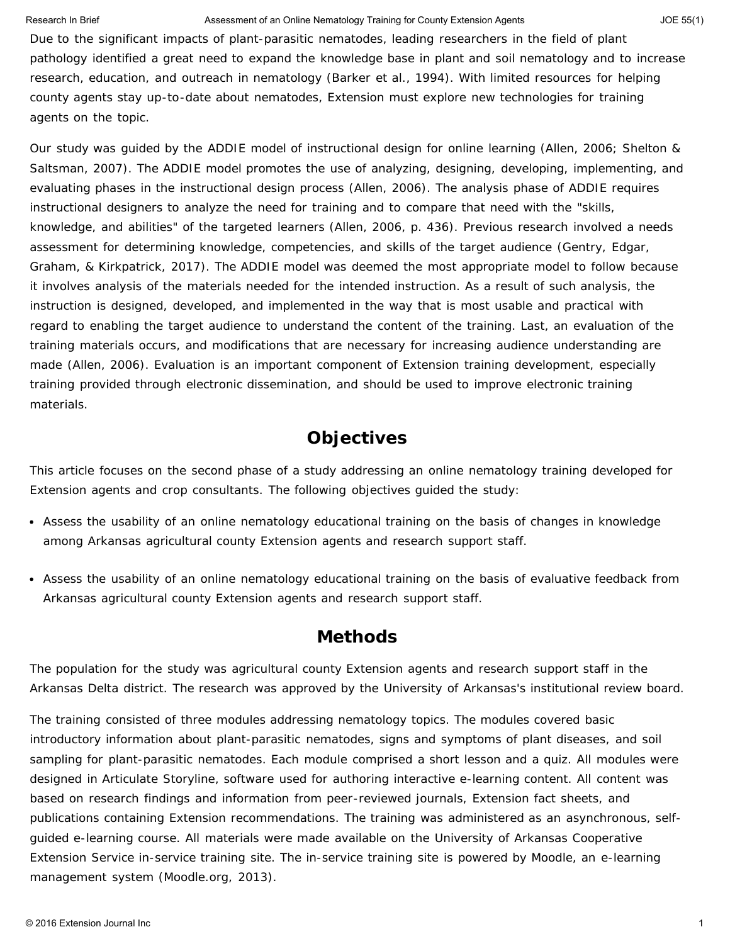#### Research In Brief **Assessment of an Online Nematology Training for County Extension Agents Allows** JOE 55(1)

Due to the significant impacts of plant-parasitic nematodes, leading researchers in the field of plant pathology identified a great need to expand the knowledge base in plant and soil nematology and to increase research, education, and outreach in nematology (Barker et al., 1994). With limited resources for helping county agents stay up-to-date about nematodes, Extension must explore new technologies for training agents on the topic.

Our study was guided by the ADDIE model of instructional design for online learning (Allen, 2006; Shelton & Saltsman, 2007). The ADDIE model promotes the use of analyzing, designing, developing, implementing, and evaluating phases in the instructional design process (Allen, 2006). The analysis phase of ADDIE requires instructional designers to analyze the need for training and to compare that need with the "skills, knowledge, and abilities" of the targeted learners (Allen, 2006, p. 436). Previous research involved a needs assessment for determining knowledge, competencies, and skills of the target audience (Gentry, Edgar, Graham, & Kirkpatrick, 2017). The ADDIE model was deemed the most appropriate model to follow because it involves analysis of the materials needed for the intended instruction. As a result of such analysis, the instruction is designed, developed, and implemented in the way that is most usable and practical with regard to enabling the target audience to understand the content of the training. Last, an evaluation of the training materials occurs, and modifications that are necessary for increasing audience understanding are made (Allen, 2006). Evaluation is an important component of Extension training development, especially training provided through electronic dissemination, and should be used to improve electronic training materials.

### **Objectives**

This article focuses on the second phase of a study addressing an online nematology training developed for Extension agents and crop consultants. The following objectives guided the study:

- Assess the usability of an online nematology educational training on the basis of changes in knowledge among Arkansas agricultural county Extension agents and research support staff.
- Assess the usability of an online nematology educational training on the basis of evaluative feedback from Arkansas agricultural county Extension agents and research support staff.

### **Methods**

The population for the study was agricultural county Extension agents and research support staff in the Arkansas Delta district. The research was approved by the University of Arkansas's institutional review board.

The training consisted of three modules addressing nematology topics. The modules covered basic introductory information about plant-parasitic nematodes, signs and symptoms of plant diseases, and soil sampling for plant-parasitic nematodes. Each module comprised a short lesson and a quiz. All modules were designed in Articulate Storyline, software used for authoring interactive e-learning content. All content was based on research findings and information from peer-reviewed journals, Extension fact sheets, and publications containing Extension recommendations. The training was administered as an asynchronous, selfguided e-learning course. All materials were made available on the University of Arkansas Cooperative Extension Service in-service training site. The in-service training site is powered by Moodle, an e-learning management system (Moodle.org, 2013).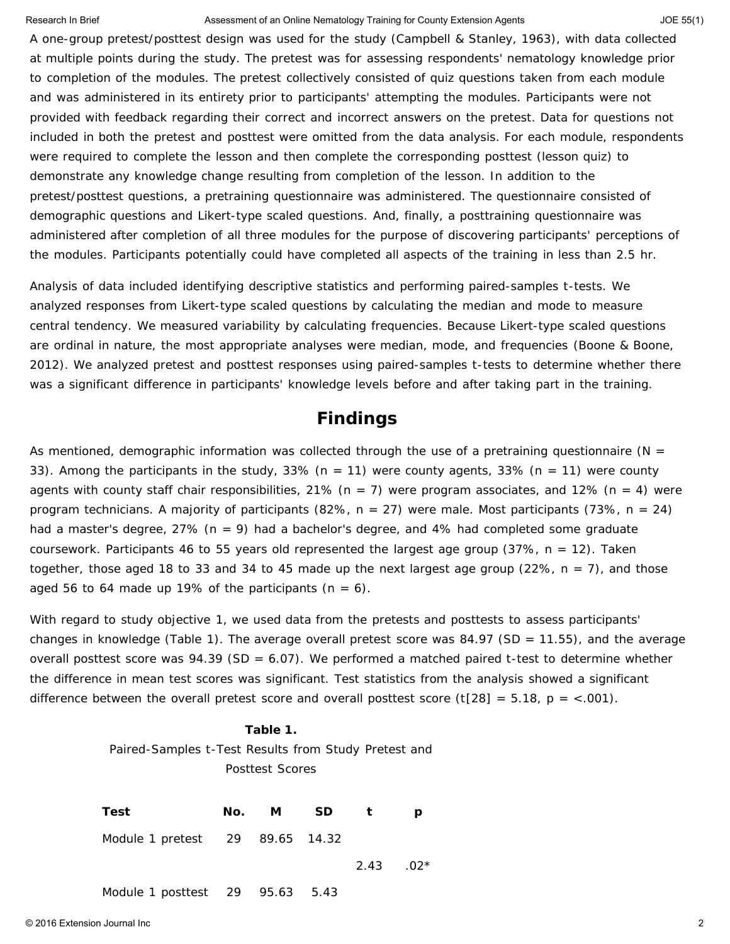#### Research In Brief **Assessment of an Online Nematology Training for County Extension Agents Agents** JOE 55(1)

A one-group pretest/posttest design was used for the study (Campbell & Stanley, 1963), with data collected at multiple points during the study. The pretest was for assessing respondents' nematology knowledge prior to completion of the modules. The pretest collectively consisted of quiz questions taken from each module and was administered in its entirety prior to participants' attempting the modules. Participants were not provided with feedback regarding their correct and incorrect answers on the pretest. Data for questions not included in both the pretest and posttest were omitted from the data analysis. For each module, respondents were required to complete the lesson and then complete the corresponding posttest (lesson quiz) to demonstrate any knowledge change resulting from completion of the lesson. In addition to the pretest/posttest questions, a pretraining questionnaire was administered. The questionnaire consisted of demographic questions and Likert-type scaled questions. And, finally, a posttraining questionnaire was administered after completion of all three modules for the purpose of discovering participants' perceptions of the modules. Participants potentially could have completed all aspects of the training in less than 2.5 hr.

Analysis of data included identifying descriptive statistics and performing paired-samples *t*-tests. We analyzed responses from Likert-type scaled questions by calculating the median and mode to measure central tendency. We measured variability by calculating frequencies. Because Likert-type scaled questions are ordinal in nature, the most appropriate analyses were median, mode, and frequencies (Boone & Boone, 2012). We analyzed pretest and posttest responses using paired-samples *t*-tests to determine whether there was a significant difference in participants' knowledge levels before and after taking part in the training.

### **Findings**

As mentioned, demographic information was collected through the use of a pretraining questionnaire (*N* = 33). Among the participants in the study, 33% (*n* = 11) were county agents, 33% (*n* = 11) were county agents with county staff chair responsibilities, 21% (*n* = 7) were program associates, and 12% (*n* = 4) were program technicians. A majority of participants (82%, *n* = 27) were male. Most participants (73%, *n* = 24) had a master's degree, 27% (*n* = 9) had a bachelor's degree, and 4% had completed some graduate coursework. Participants 46 to 55 years old represented the largest age group (37%, *n* = 12). Taken together, those aged 18 to 33 and 34 to 45 made up the next largest age group (22%, *n* = 7), and those aged 56 to 64 made up 19% of the participants  $(n = 6)$ .

With regard to study objective 1, we used data from the pretests and posttests to assess participants' changes in knowledge (Table 1). The average overall pretest score was 84.97 (*SD* = 11.55), and the average overall posttest score was 94.39 (*SD* = 6.07). We performed a matched paired *t*-test to determine whether the difference in mean test scores was significant. Test statistics from the analysis showed a significant difference between the overall pretest score and overall posttest score  $(t[28] = 5.18, p = <.001)$ .

#### **Table 1.**

Paired-Samples *t*-Test Results from Study Pretest and Posttest Scores

| Test                            | No. <i>M SD t</i> |                   |  |
|---------------------------------|-------------------|-------------------|--|
| Module 1 pretest 29 89.65 14.32 |                   |                   |  |
|                                 |                   | $2.43 \qquad 02*$ |  |
| Module 1 posttest 29 95.63 5.43 |                   |                   |  |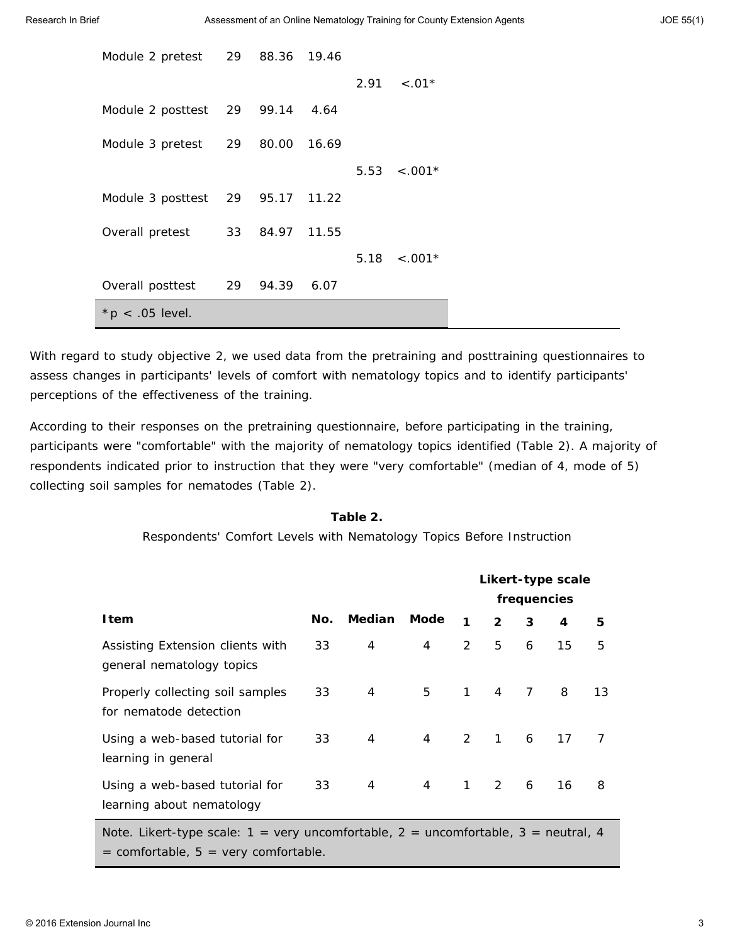| Module 2 pretest 29 88.36 19.46  |                |       |      |                   |  |
|----------------------------------|----------------|-------|------|-------------------|--|
|                                  |                |       | 2.91 | $< 0.01*$         |  |
| Module 2 posttest 29 99.14 4.64  |                |       |      |                   |  |
| Module 3 pretest 29              | 80.00          | 16.69 |      |                   |  |
|                                  |                |       |      | $5.53 \div .001*$ |  |
| Module 3 posttest 29 95.17 11.22 |                |       |      |                   |  |
| Overall pretest                  | 33 84.97 11.55 |       |      |                   |  |
|                                  |                |       | 5.18 | $< 0.001*$        |  |
| Overall posttest                 | 29 94.39       | 6.07  |      |                   |  |
| * $p$ < .05 level.               |                |       |      |                   |  |

With regard to study objective 2, we used data from the pretraining and posttraining questionnaires to assess changes in participants' levels of comfort with nematology topics and to identify participants' perceptions of the effectiveness of the training.

According to their responses on the pretraining questionnaire, before participating in the training, participants were "comfortable" with the majority of nematology topics identified (Table 2). A majority of respondents indicated prior to instruction that they were "very comfortable" (median of 4, mode of 5) collecting soil samples for nematodes (Table 2).

#### **Table 2.**

Respondents' Comfort Levels with Nematology Topics Before Instruction

|                                                                                                                                       |     |               |             | Likert-type scale |                |   |    |                |
|---------------------------------------------------------------------------------------------------------------------------------------|-----|---------------|-------------|-------------------|----------------|---|----|----------------|
|                                                                                                                                       |     |               |             | frequencies       |                |   |    |                |
| <b>I</b> tem                                                                                                                          | No. | <b>Median</b> | <b>Mode</b> | 1                 | $\overline{2}$ | 3 | 4  | 5              |
| Assisting Extension clients with<br>general nematology topics                                                                         | 33  | 4             | 4           | 2                 | 5              | 6 | 15 | 5              |
| Properly collecting soil samples<br>for nematode detection                                                                            | 33  | 4             | 5           | $\mathbf{1}$      | $\overline{4}$ | 7 | 8  | 13             |
| Using a web-based tutorial for<br>learning in general                                                                                 | 33  | 4             | 4           | 2                 | $\mathbf{1}$   | 6 | 17 | $\overline{7}$ |
| Using a web-based tutorial for<br>learning about nematology                                                                           | 33  | 4             | 4           | $\mathbf{1}$      | $\mathcal{P}$  | 6 | 16 | 8              |
| Note. Likert-type scale: $1 = very uncomfortable$ , $2 = uncomfortable$ , $3 = neutral$ , $4$<br>= comfortable, 5 = very comfortable. |     |               |             |                   |                |   |    |                |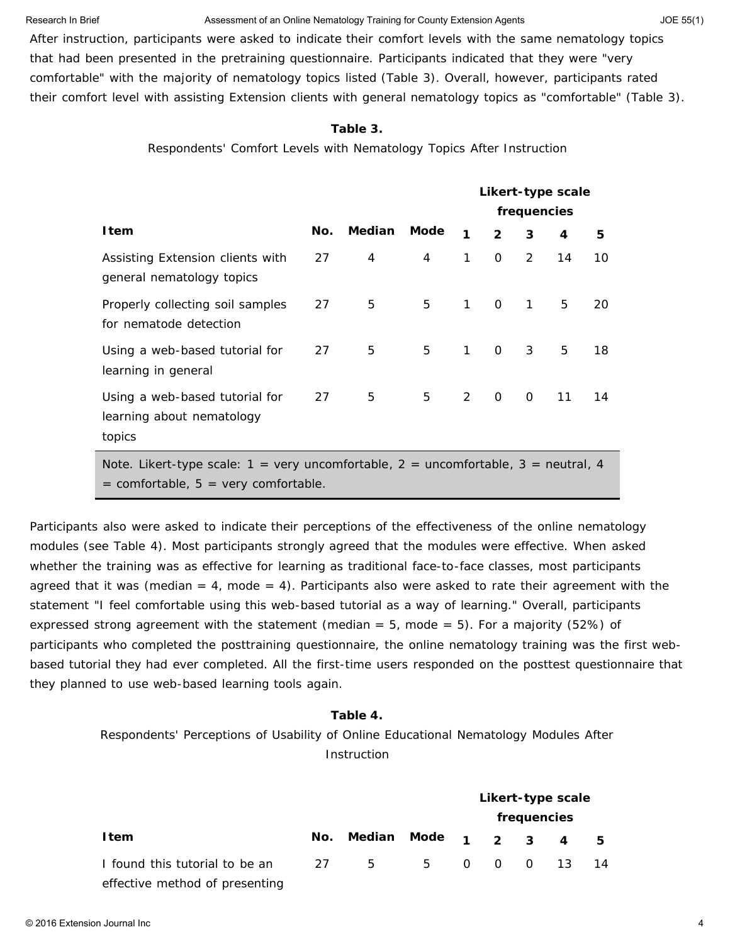### Research In Brief **Assessment of an Online Nematology Training for County Extension Agents Agents** JOE 55(1)

After instruction, participants were asked to indicate their comfort levels with the same nematology topics that had been presented in the pretraining questionnaire. Participants indicated that they were "very comfortable" with the majority of nematology topics listed (Table 3). Overall, however, participants rated their comfort level with assisting Extension clients with general nematology topics as "comfortable" (Table 3).

#### **Table 3.**

Respondents' Comfort Levels with Nematology Topics After Instruction

|                                                                                                                                                      |     |        |      | Likert-type scale |               |               |    |    |
|------------------------------------------------------------------------------------------------------------------------------------------------------|-----|--------|------|-------------------|---------------|---------------|----|----|
|                                                                                                                                                      |     |        |      | frequencies       |               |               |    |    |
| I tem                                                                                                                                                | No. | Median | Mode | 1                 | $\mathcal{P}$ | 3             | 4  | 5  |
| Assisting Extension clients with<br>general nematology topics                                                                                        | 27  | 4      | 4    | $\mathbf{1}$      | 0             | $\mathcal{P}$ | 14 | 10 |
| Properly collecting soil samples<br>for nematode detection                                                                                           | 27  | 5      | 5    | $\mathbf{1}$      | $\Omega$      | $\mathbf{1}$  | 5  | 20 |
| Using a web-based tutorial for<br>learning in general                                                                                                | 27  | 5      | 5    | $\mathbf{1}$      | $\Omega$      | 3             | 5  | 18 |
| Using a web-based tutorial for<br>learning about nematology<br>topics                                                                                | 27  | 5      | 5    | 2                 | $\Omega$      | $\Omega$      | 11 | 14 |
| Note. Likert-type scale: $1 = \text{very uncombine}$ , $2 = \text{uncombine}$ , $3 = \text{neutral}$ , $4$<br>$=$ comfortable, 5 = very comfortable. |     |        |      |                   |               |               |    |    |

Participants also were asked to indicate their perceptions of the effectiveness of the online nematology modules (see Table 4). Most participants strongly agreed that the modules were effective. When asked whether the training was as effective for learning as traditional face-to-face classes, most participants agreed that it was (median  $= 4$ , mode  $= 4$ ). Participants also were asked to rate their agreement with the statement "I feel comfortable using this web-based tutorial as a way of learning." Overall, participants expressed strong agreement with the statement (median  $= 5$ , mode  $= 5$ ). For a majority (52%) of participants who completed the posttraining questionnaire, the online nematology training was the first webbased tutorial they had ever completed. All the first-time users responded on the posttest questionnaire that they planned to use web-based learning tools again.

### **Table 4.**

Respondents' Perceptions of Usability of Online Educational Nematology Modules After Instruction

|                                |     |                   |            | Likert-type scale |             |  |                         |     |  |  |
|--------------------------------|-----|-------------------|------------|-------------------|-------------|--|-------------------------|-----|--|--|
|                                |     |                   |            |                   | frequencies |  |                         |     |  |  |
| <b>Item</b>                    | No. | Median Mode 1 2 3 |            |                   |             |  | $\overline{\mathbf{A}}$ | - 5 |  |  |
| I found this tutorial to be an | 27  | - 5               | 5 0 0 0 13 |                   |             |  |                         | -14 |  |  |
| effective method of presenting |     |                   |            |                   |             |  |                         |     |  |  |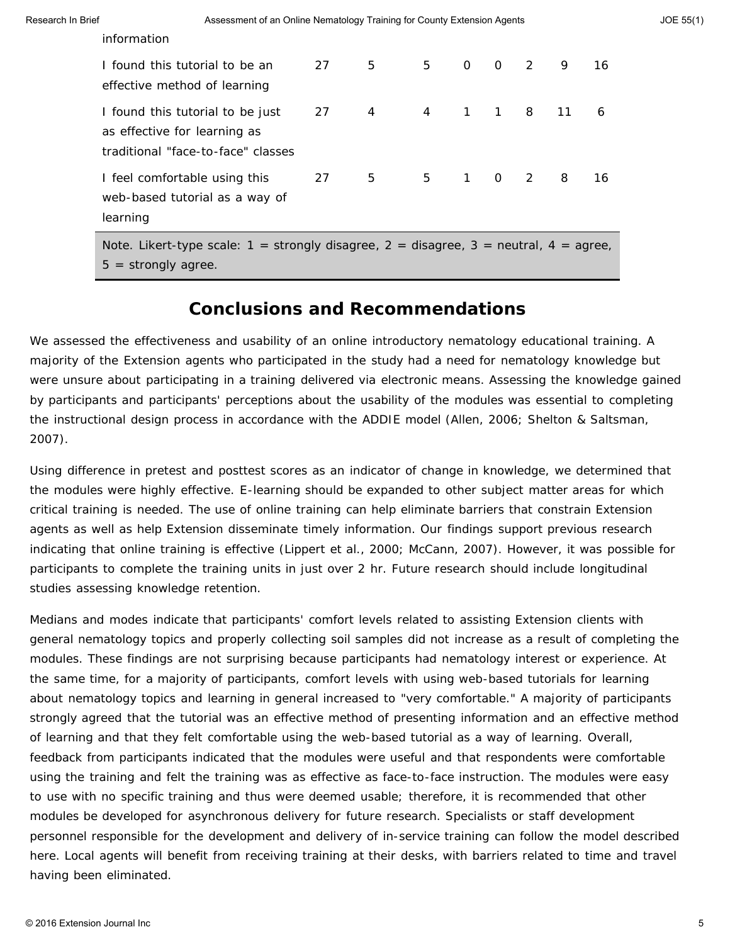| information                                                                                                            |    |                |                |             |                |                |    |    |
|------------------------------------------------------------------------------------------------------------------------|----|----------------|----------------|-------------|----------------|----------------|----|----|
| I found this tutorial to be an<br>effective method of learning                                                         | 27 | 5 <sub>5</sub> | 5              | $\Omega$    | $\overline{0}$ | $\mathcal{P}$  | 9  | 16 |
| I found this tutorial to be just<br>as effective for learning as<br>traditional "face-to-face" classes                 | 27 | $\overline{4}$ | $\overline{4}$ |             | $1 \quad 1$    | 8              | 11 | 6  |
| I feel comfortable using this<br>web-based tutorial as a way of<br>learning                                            | 27 | 5 <sub>5</sub> | 5              | $1 \quad 0$ |                | $\overline{2}$ | 8  | 16 |
| Note. Likert-type scale: $1 =$ strongly disagree, $2 =$ disagree, $3 =$ neutral, $4 =$ agree,<br>$5 =$ strongly agree. |    |                |                |             |                |                |    |    |

### **Conclusions and Recommendations**

We assessed the effectiveness and usability of an online introductory nematology educational training. A majority of the Extension agents who participated in the study had a need for nematology knowledge but were unsure about participating in a training delivered via electronic means. Assessing the knowledge gained by participants and participants' perceptions about the usability of the modules was essential to completing the instructional design process in accordance with the ADDIE model (Allen, 2006; Shelton & Saltsman, 2007).

Using difference in pretest and posttest scores as an indicator of change in knowledge, we determined that the modules were highly effective. E-learning should be expanded to other subject matter areas for which critical training is needed. The use of online training can help eliminate barriers that constrain Extension agents as well as help Extension disseminate timely information. Our findings support previous research indicating that online training is effective (Lippert et al., 2000; McCann, 2007). However, it was possible for participants to complete the training units in just over 2 hr. Future research should include longitudinal studies assessing knowledge retention.

Medians and modes indicate that participants' comfort levels related to assisting Extension clients with general nematology topics and properly collecting soil samples did not increase as a result of completing the modules. These findings are not surprising because participants had nematology interest or experience. At the same time, for a majority of participants, comfort levels with using web-based tutorials for learning about nematology topics and learning in general increased to "very comfortable." A majority of participants strongly agreed that the tutorial was an effective method of presenting information and an effective method of learning and that they felt comfortable using the web-based tutorial as a way of learning. Overall, feedback from participants indicated that the modules were useful and that respondents were comfortable using the training and felt the training was as effective as face-to-face instruction. The modules were easy to use with no specific training and thus were deemed usable; therefore, it is recommended that other modules be developed for asynchronous delivery for future research. Specialists or staff development personnel responsible for the development and delivery of in-service training can follow the model described here. Local agents will benefit from receiving training at their desks, with barriers related to time and travel having been eliminated.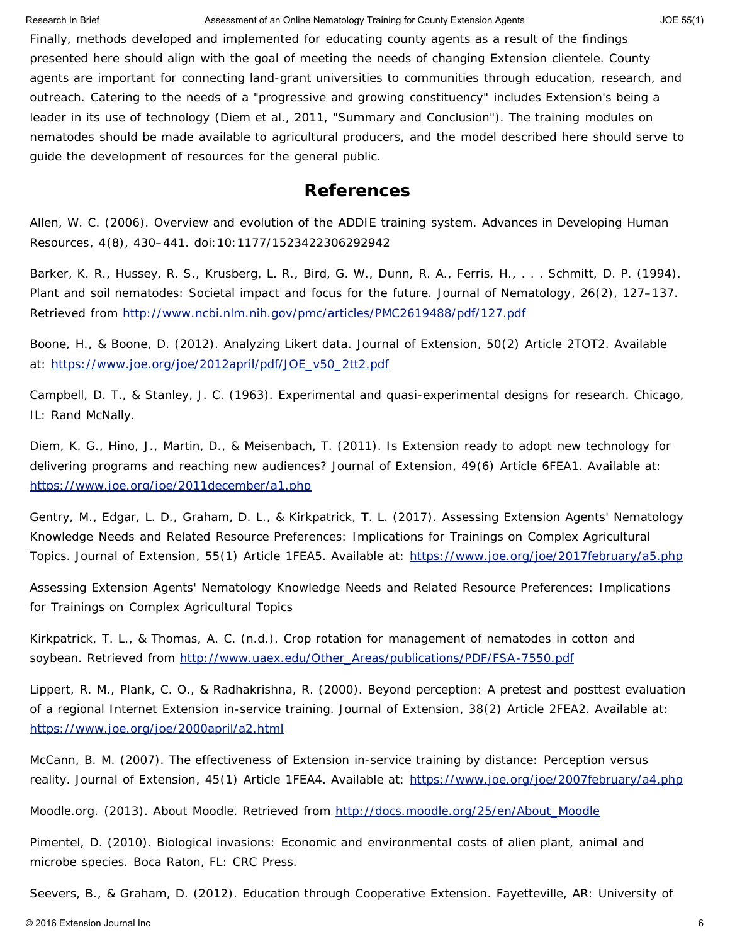#### Research In Brief **Assessment of an Online Nematology Training for County Extension Agents Allows** JOE 55(1)

Finally, methods developed and implemented for educating county agents as a result of the findings presented here should align with the goal of meeting the needs of changing Extension clientele. County agents are important for connecting land-grant universities to communities through education, research, and outreach. Catering to the needs of a "progressive and growing constituency" includes Extension's being a leader in its use of technology (Diem et al., 2011, "Summary and Conclusion"). The training modules on nematodes should be made available to agricultural producers, and the model described here should serve to guide the development of resources for the general public.

### **References**

Allen, W. C. (2006). Overview and evolution of the ADDIE training system. *Advances in Developing Human Resources*, *4*(8), 430–441. doi:10:1177/1523422306292942

Barker, K. R., Hussey, R. S., Krusberg, L. R., Bird, G. W., Dunn, R. A., Ferris, H., . . . Schmitt, D. P. (1994). Plant and soil nematodes: Societal impact and focus for the future. *Journal of Nematology*, *26*(2), 127–137. Retrieved from <http://www.ncbi.nlm.nih.gov/pmc/articles/PMC2619488/pdf/127.pdf>

Boone, H., & Boone, D. (2012). Analyzing Likert data. *Journal of Extension*, *50*(2) Article 2TOT2. Available at: [https://www.joe.org/joe/2012april/pdf/JOE\\_v50\\_2tt2.pdf](https://www.joe.org/joe/2012april/pdf/JOE_v50_2tt2.pdf)

Campbell, D. T., & Stanley, J. C. (1963). *Experimental and quasi-experimental designs for research.* Chicago, IL: Rand McNally.

Diem, K. G., Hino, J., Martin, D., & Meisenbach, T. (2011). Is Extension ready to adopt new technology for delivering programs and reaching new audiences? *Journal of Extension*, *49*(6) Article 6FEA1. Available at: <https://www.joe.org/joe/2011december/a1.php>

Gentry, M., Edgar, L. D., Graham, D. L., & Kirkpatrick, T. L. (2017). Assessing Extension Agents' Nematology Knowledge Needs and Related Resource Preferences: Implications for Trainings on Complex Agricultural Topics. *Journal of Extension*, *55*(1) Article 1FEA5. Available at: <https://www.joe.org/joe/2017february/a5.php>

Assessing Extension Agents' Nematology Knowledge Needs and Related Resource Preferences: Implications for Trainings on Complex Agricultural Topics

Kirkpatrick, T. L., & Thomas, A. C. (n.d.). Crop rotation for management of nematodes in cotton and soybean. Retrieved from [http://www.uaex.edu/Other\\_Areas/publications/PDF/FSA-7550.pdf](http://www.uaex.edu/Other_Areas/publications/PDF/FSA-7550.pdf)

Lippert, R. M., Plank, C. O., & Radhakrishna, R. (2000). Beyond perception: A pretest and posttest evaluation of a regional Internet Extension in-service training. *Journal of Extension*, *38*(2) Article 2FEA2. Available at: <https://www.joe.org/joe/2000april/a2.html>

McCann, B. M. (2007). The effectiveness of Extension in-service training by distance: Perception versus reality. *Journal of Extension*, *45*(1) Article 1FEA4. Available at: <https://www.joe.org/joe/2007february/a4.php>

Moodle.org. (2013). About Moodle. Retrieved from [http://docs.moodle.org/25/en/About\\_Moodle](http://docs.moodle.org/25/en/About_Moodle)

Pimentel, D. (2010). *Biological invasions: Economic and environmental costs of alien plant, animal and microbe species.* Boca Raton, FL: CRC Press.

Seevers, B., & Graham, D. (2012). *Education through Cooperative Extension*. Fayetteville, AR: University of